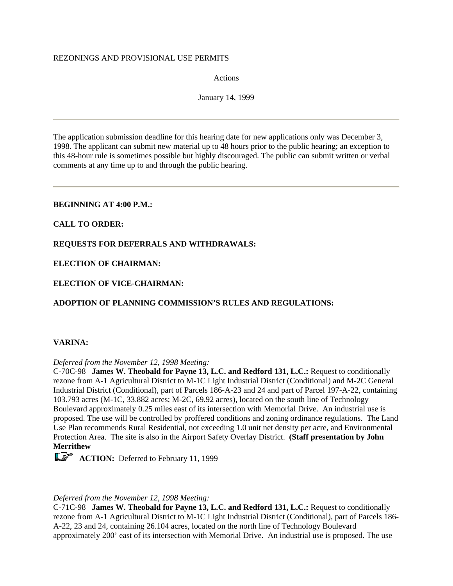#### REZONINGS AND PROVISIONAL USE PERMITS

Actions

January 14, 1999

The application submission deadline for this hearing date for new applications only was December 3, 1998. The applicant can submit new material up to 48 hours prior to the public hearing; an exception to this 48-hour rule is sometimes possible but highly discouraged. The public can submit written or verbal comments at any time up to and through the public hearing.

### **BEGINNING AT 4:00 P.M.:**

### **CALL TO ORDER:**

**REQUESTS FOR DEFERRALS AND WITHDRAWALS:**

**ELECTION OF CHAIRMAN:**

**ELECTION OF VICE-CHAIRMAN:**

**ADOPTION OF PLANNING COMMISSION'S RULES AND REGULATIONS:**

### **VARINA:**

*Deferred from the November 12, 1998 Meeting:*

C-70C-98 **James W. Theobald for Payne 13, L.C. and Redford 131, L.C.:** Request to conditionally rezone from A-1 Agricultural District to M-1C Light Industrial District (Conditional) and M-2C General Industrial District (Conditional), part of Parcels 186-A-23 and 24 and part of Parcel 197-A-22, containing 103.793 acres (M-1C, 33.882 acres; M-2C, 69.92 acres), located on the south line of Technology Boulevard approximately 0.25 miles east of its intersection with Memorial Drive. An industrial use is proposed. The use will be controlled by proffered conditions and zoning ordinance regulations. The Land Use Plan recommends Rural Residential, not exceeding 1.0 unit net density per acre, and Environmental Protection Area. The site is also in the Airport Safety Overlay District. **(Staff presentation by John Merrithew**

**ACTION:** Deferred to February 11, 1999

#### *Deferred from the November 12, 1998 Meeting:*

C-71C-98 **James W. Theobald for Payne 13, L.C. and Redford 131, L.C.:** Request to conditionally rezone from A-1 Agricultural District to M-1C Light Industrial District (Conditional), part of Parcels 186- A-22, 23 and 24, containing 26.104 acres, located on the north line of Technology Boulevard approximately 200' east of its intersection with Memorial Drive. An industrial use is proposed. The use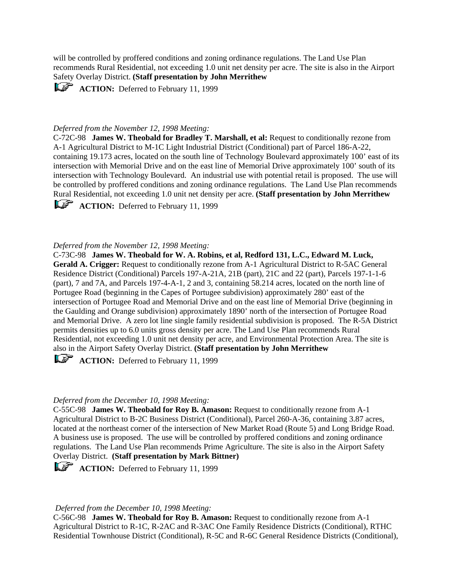will be controlled by proffered conditions and zoning ordinance regulations. The Land Use Plan recommends Rural Residential, not exceeding 1.0 unit net density per acre. The site is also in the Airport Safety Overlay District. **(Staff presentation by John Merrithew**

**ACTION:** Deferred to February 11, 1999

#### *Deferred from the November 12, 1998 Meeting:*

C-72C-98 **James W. Theobald for Bradley T. Marshall, et al:** Request to conditionally rezone from A-1 Agricultural District to M-1C Light Industrial District (Conditional) part of Parcel 186-A-22, containing 19.173 acres, located on the south line of Technology Boulevard approximately 100' east of its intersection with Memorial Drive and on the east line of Memorial Drive approximately 100' south of its intersection with Technology Boulevard. An industrial use with potential retail is proposed. The use will be controlled by proffered conditions and zoning ordinance regulations. The Land Use Plan recommends Rural Residential, not exceeding 1.0 unit net density per acre. **(Staff presentation by John Merrithew**

**ACTION:** Deferred to February 11, 1999

#### *Deferred from the November 12, 1998 Meeting:*

C-73C-98 **James W. Theobald for W. A. Robins, et al, Redford 131, L.C., Edward M. Luck, Gerald A. Crigger:** Request to conditionally rezone from A-1 Agricultural District to R-5AC General Residence District (Conditional) Parcels 197-A-21A, 21B (part), 21C and 22 (part), Parcels 197-1-1-6 (part), 7 and 7A, and Parcels 197-4-A-1, 2 and 3, containing 58.214 acres, located on the north line of Portugee Road (beginning in the Capes of Portugee subdivision) approximately 280' east of the intersection of Portugee Road and Memorial Drive and on the east line of Memorial Drive (beginning in the Gaulding and Orange subdivision) approximately 1890' north of the intersection of Portugee Road and Memorial Drive. A zero lot line single family residential subdivision is proposed. The R-5A District permits densities up to 6.0 units gross density per acre. The Land Use Plan recommends Rural Residential, not exceeding 1.0 unit net density per acre, and Environmental Protection Area. The site is also in the Airport Safety Overlay District. **(Staff presentation by John Merrithew**

**ACTION:** Deferred to February 11, 1999

#### *Deferred from the December 10, 1998 Meeting:*

C-55C-98 **James W. Theobald for Roy B. Amason:** Request to conditionally rezone from A-1 Agricultural District to B-2C Business District (Conditional), Parcel 260-A-36, containing 3.87 acres, located at the northeast corner of the intersection of New Market Road (Route 5) and Long Bridge Road. A business use is proposed. The use will be controlled by proffered conditions and zoning ordinance regulations. The Land Use Plan recommends Prime Agriculture. The site is also in the Airport Safety Overlay District. **(Staff presentation by Mark Bittner)**

**ACTION:** Deferred to February 11, 1999

#### *Deferred from the December 10, 1998 Meeting:*

C-56C-98 **James W. Theobald for Roy B. Amason:** Request to conditionally rezone from A-1 Agricultural District to R-1C, R-2AC and R-3AC One Family Residence Districts (Conditional), RTHC Residential Townhouse District (Conditional), R-5C and R-6C General Residence Districts (Conditional),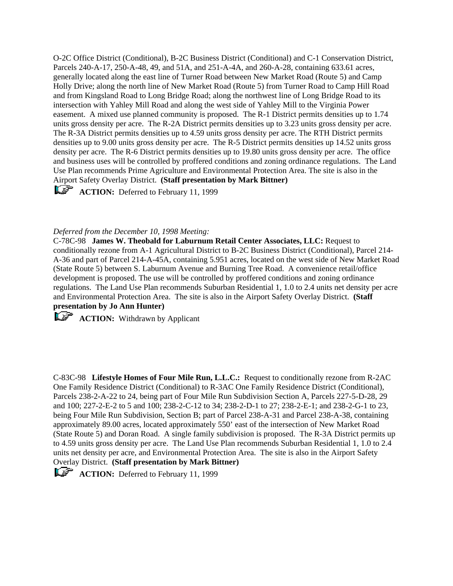O-2C Office District (Conditional), B-2C Business District (Conditional) and C-1 Conservation District, Parcels 240-A-17, 250-A-48, 49, and 51A, and 251-A-4A, and 260-A-28, containing 633.61 acres, generally located along the east line of Turner Road between New Market Road (Route 5) and Camp Holly Drive; along the north line of New Market Road (Route 5) from Turner Road to Camp Hill Road and from Kingsland Road to Long Bridge Road; along the northwest line of Long Bridge Road to its intersection with Yahley Mill Road and along the west side of Yahley Mill to the Virginia Power easement. A mixed use planned community is proposed. The R-1 District permits densities up to 1.74 units gross density per acre. The R-2A District permits densities up to 3.23 units gross density per acre. The R-3A District permits densities up to 4.59 units gross density per acre. The RTH District permits densities up to 9.00 units gross density per acre. The R-5 District permits densities up 14.52 units gross density per acre. The R-6 District permits densities up to 19.80 units gross density per acre. The office and business uses will be controlled by proffered conditions and zoning ordinance regulations. The Land Use Plan recommends Prime Agriculture and Environmental Protection Area. The site is also in the Airport Safety Overlay District. **(Staff presentation by Mark Bittner)**

**ACTION:** Deferred to February 11, 1999

#### *Deferred from the December 10, 1998 Meeting:*

C-78C-98 **James W. Theobald for Laburnum Retail Center Associates, LLC:** Request to conditionally rezone from A-1 Agricultural District to B-2C Business District (Conditional), Parcel 214- A-36 and part of Parcel 214-A-45A, containing 5.951 acres, located on the west side of New Market Road (State Route 5) between S. Laburnum Avenue and Burning Tree Road. A convenience retail/office development is proposed. The use will be controlled by proffered conditions and zoning ordinance regulations. The Land Use Plan recommends Suburban Residential 1, 1.0 to 2.4 units net density per acre and Environmental Protection Area. The site is also in the Airport Safety Overlay District. **(Staff presentation by Jo Ann Hunter)**

**ACTION:** Withdrawn by Applicant

C-83C-98 **Lifestyle Homes of Four Mile Run, L.L.C.:** Request to conditionally rezone from R-2AC One Family Residence District (Conditional) to R-3AC One Family Residence District (Conditional), Parcels 238-2-A-22 to 24, being part of Four Mile Run Subdivision Section A, Parcels 227-5-D-28, 29 and 100; 227-2-E-2 to 5 and 100; 238-2-C-12 to 34; 238-2-D-1 to 27; 238-2-E-1; and 238-2-G-1 to 23, being Four Mile Run Subdivision, Section B; part of Parcel 238-A-31 and Parcel 238-A-38, containing approximately 89.00 acres, located approximately 550' east of the intersection of New Market Road (State Route 5) and Doran Road. A single family subdivision is proposed. The R-3A District permits up to 4.59 units gross density per acre. The Land Use Plan recommends Suburban Residential 1, 1.0 to 2.4 units net density per acre, and Environmental Protection Area. The site is also in the Airport Safety Overlay District. **(Staff presentation by Mark Bittner)**

**ACTION:** Deferred to February 11, 1999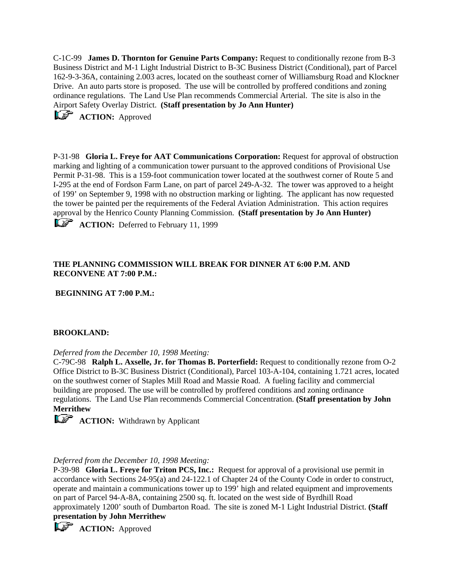C-1C-99 **James D. Thornton for Genuine Parts Company:** Request to conditionally rezone from B-3 Business District and M-1 Light Industrial District to B-3C Business District (Conditional), part of Parcel 162-9-3-36A, containing 2.003 acres, located on the southeast corner of Williamsburg Road and Klockner Drive. An auto parts store is proposed. The use will be controlled by proffered conditions and zoning ordinance regulations. The Land Use Plan recommends Commercial Arterial. The site is also in the Airport Safety Overlay District. **(Staff presentation by Jo Ann Hunter)**

**ACTION:** Approved

P-31-98 **Gloria L. Freye for AAT Communications Corporation:** Request for approval of obstruction marking and lighting of a communication tower pursuant to the approved conditions of Provisional Use Permit P-31-98. This is a 159-foot communication tower located at the southwest corner of Route 5 and I-295 at the end of Fordson Farm Lane, on part of parcel 249-A-32. The tower was approved to a height of 199' on September 9, 1998 with no obstruction marking or lighting. The applicant has now requested the tower be painted per the requirements of the Federal Aviation Administration. This action requires approval by the Henrico County Planning Commission. **(Staff presentation by Jo Ann Hunter)**

**ACTION:** Deferred to February 11, 1999

# **THE PLANNING COMMISSION WILL BREAK FOR DINNER AT 6:00 P.M. AND RECONVENE AT 7:00 P.M.:**

**BEGINNING AT 7:00 P.M.:**

### **BROOKLAND:**

### *Deferred from the December 10, 1998 Meeting:*

C-79C-98 **Ralph L. Axselle, Jr. for Thomas B. Porterfield:** Request to conditionally rezone from O-2 Office District to B-3C Business District (Conditional), Parcel 103-A-104, containing 1.721 acres, located on the southwest corner of Staples Mill Road and Massie Road. A fueling facility and commercial building are proposed. The use will be controlled by proffered conditions and zoning ordinance regulations. The Land Use Plan recommends Commercial Concentration. **(Staff presentation by John Merrithew**



# *Deferred from the December 10, 1998 Meeting:*

P-39-98 **Gloria L. Freye for Triton PCS, Inc.:** Request for approval of a provisional use permit in accordance with Sections 24-95(a) and 24-122.1 of Chapter 24 of the County Code in order to construct, operate and maintain a communications tower up to 199' high and related equipment and improvements on part of Parcel 94-A-8A, containing 2500 sq. ft. located on the west side of Byrdhill Road approximately 1200' south of Dumbarton Road. The site is zoned M-1 Light Industrial District. **(Staff presentation by John Merrithew**

**ACTION:** Approved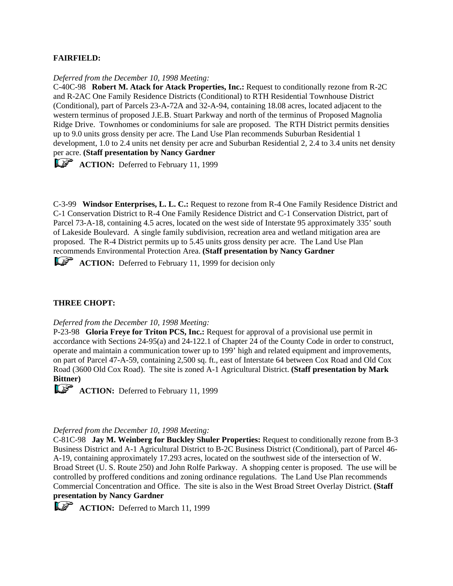## **FAIRFIELD:**

#### *Deferred from the December 10, 1998 Meeting:*

C-40C-98 **Robert M. Atack for Atack Properties, Inc.:** Request to conditionally rezone from R-2C and R-2AC One Family Residence Districts (Conditional) to RTH Residential Townhouse District (Conditional), part of Parcels 23-A-72A and 32-A-94, containing 18.08 acres, located adjacent to the western terminus of proposed J.E.B. Stuart Parkway and north of the terminus of Proposed Magnolia Ridge Drive. Townhomes or condominiums for sale are proposed. The RTH District permits densities up to 9.0 units gross density per acre. The Land Use Plan recommends Suburban Residential 1 development, 1.0 to 2.4 units net density per acre and Suburban Residential 2, 2.4 to 3.4 units net density per acre. **(Staff presentation by Nancy Gardner**

**ACTION:** Deferred to February 11, 1999

C-3-99 **Windsor Enterprises, L. L. C.:** Request to rezone from R-4 One Family Residence District and C-1 Conservation District to R-4 One Family Residence District and C-1 Conservation District, part of Parcel 73-A-18, containing 4.5 acres, located on the west side of Interstate 95 approximately 335' south of Lakeside Boulevard. A single family subdivision, recreation area and wetland mitigation area are proposed. The R-4 District permits up to 5.45 units gross density per acre. The Land Use Plan recommends Environmental Protection Area. **(Staff presentation by Nancy Gardner**

**ACTION:** Deferred to February 11, 1999 for decision only

### **THREE CHOPT:**

#### *Deferred from the December 10, 1998 Meeting:*

P-23-98 **Gloria Freye for Triton PCS, Inc.:** Request for approval of a provisional use permit in accordance with Sections 24-95(a) and 24-122.1 of Chapter 24 of the County Code in order to construct, operate and maintain a communication tower up to 199' high and related equipment and improvements, on part of Parcel 47-A-59, containing 2,500 sq. ft., east of Interstate 64 between Cox Road and Old Cox Road (3600 Old Cox Road). The site is zoned A-1 Agricultural District. **(Staff presentation by Mark Bittner)**

**ACTION:** Deferred to February 11, 1999

### *Deferred from the December 10, 1998 Meeting:*

C-81C-98 **Jay M. Weinberg for Buckley Shuler Properties:** Request to conditionally rezone from B-3 Business District and A-1 Agricultural District to B-2C Business District (Conditional), part of Parcel 46- A-19, containing approximately 17.293 acres, located on the southwest side of the intersection of W. Broad Street (U. S. Route 250) and John Rolfe Parkway. A shopping center is proposed. The use will be controlled by proffered conditions and zoning ordinance regulations. The Land Use Plan recommends Commercial Concentration and Office. The site is also in the West Broad Street Overlay District. **(Staff presentation by Nancy Gardner**

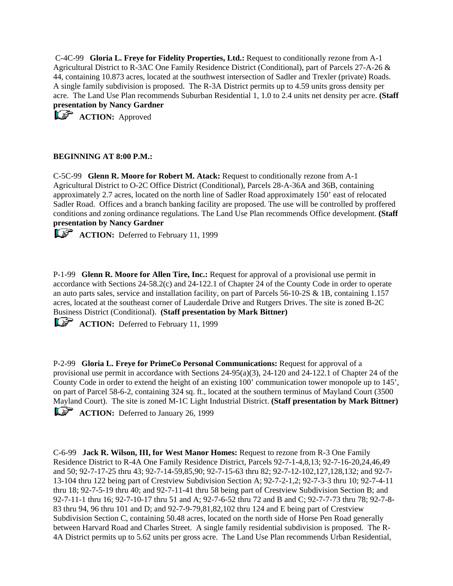C-4C-99 **Gloria L. Freye for Fidelity Properties, Ltd.:** Request to conditionally rezone from A-1 Agricultural District to R-3AC One Family Residence District (Conditional), part of Parcels 27-A-26 & 44, containing 10.873 acres, located at the southwest intersection of Sadler and Trexler (private) Roads. A single family subdivision is proposed. The R-3A District permits up to 4.59 units gross density per acre. The Land Use Plan recommends Suburban Residential 1, 1.0 to 2.4 units net density per acre. **(Staff presentation by Nancy Gardner**

**ACTION:** Approved

# **BEGINNING AT 8:00 P.M.:**

C-5C-99 **Glenn R. Moore for Robert M. Atack:** Request to conditionally rezone from A-1 Agricultural District to O-2C Office District (Conditional), Parcels 28-A-36A and 36B, containing approximately 2.7 acres, located on the north line of Sadler Road approximately 150' east of relocated Sadler Road. Offices and a branch banking facility are proposed. The use will be controlled by proffered conditions and zoning ordinance regulations. The Land Use Plan recommends Office development. **(Staff presentation by Nancy Gardner**

**ACTION:** Deferred to February 11, 1999

P-1-99 **Glenn R. Moore for Allen Tire, Inc.:** Request for approval of a provisional use permit in accordance with Sections 24-58.2(c) and 24-122.1 of Chapter 24 of the County Code in order to operate an auto parts sales, service and installation facility, on part of Parcels 56-10-2S & 1B, containing 1.157 acres, located at the southeast corner of Lauderdale Drive and Rutgers Drives. The site is zoned B-2C Business District (Conditional). **(Staff presentation by Mark Bittner)**

**ACTION:** Deferred to February 11, 1999

P-2-99 **Gloria L. Freye for PrimeCo Personal Communications:** Request for approval of a provisional use permit in accordance with Sections 24-95(a)(3), 24-120 and 24-122.1 of Chapter 24 of the County Code in order to extend the height of an existing 100' communication tower monopole up to 145', on part of Parcel 58-6-2, containing 324 sq. ft., located at the southern terminus of Mayland Court (3500 Mayland Court). The site is zoned M-1C Light Industrial District. **(Staff presentation by Mark Bittner) ACTION:** Deferred to January 26, 1999

C-6-99 **Jack R. Wilson, III, for West Manor Homes:** Request to rezone from R-3 One Family Residence District to R-4A One Family Residence District, Parcels 92-7-1-4,8,13; 92-7-16-20,24,46,49 and 50; 92-7-17-25 thru 43; 92-7-14-59,85,90; 92-7-15-63 thru 82; 92-7-12-102,127,128,132; and 92-7- 13-104 thru 122 being part of Crestview Subdivision Section A; 92-7-2-1,2; 92-7-3-3 thru 10; 92-7-4-11 thru 18; 92-7-5-19 thru 40; and 92-7-11-41 thru 58 being part of Crestview Subdivision Section B; and 92-7-11-1 thru 16; 92-7-10-17 thru 51 and A; 92-7-6-52 thru 72 and B and C; 92-7-7-73 thru 78; 92-7-8- 83 thru 94, 96 thru 101 and D; and 92-7-9-79,81,82,102 thru 124 and E being part of Crestview Subdivision Section C, containing 50.48 acres, located on the north side of Horse Pen Road generally between Harvard Road and Charles Street. A single family residential subdivision is proposed. The R-4A District permits up to 5.62 units per gross acre. The Land Use Plan recommends Urban Residential,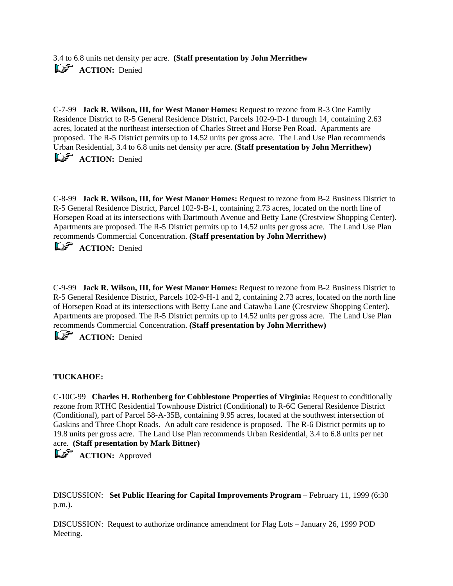3.4 to 6.8 units net density per acre. **(Staff presentation by John Merrithew ACTION:** Denied

C-7-99 **Jack R. Wilson, III, for West Manor Homes:** Request to rezone from R-3 One Family Residence District to R-5 General Residence District, Parcels 102-9-D-1 through 14, containing 2.63 acres, located at the northeast intersection of Charles Street and Horse Pen Road. Apartments are proposed. The R-5 District permits up to 14.52 units per gross acre. The Land Use Plan recommends Urban Residential, 3.4 to 6.8 units net density per acre. **(Staff presentation by John Merrithew)**

**ACTION:** Denied

C-8-99 **Jack R. Wilson, III, for West Manor Homes:** Request to rezone from B-2 Business District to R-5 General Residence District, Parcel 102-9-B-1, containing 2.73 acres, located on the north line of Horsepen Road at its intersections with Dartmouth Avenue and Betty Lane (Crestview Shopping Center). Apartments are proposed. The R-5 District permits up to 14.52 units per gross acre. The Land Use Plan recommends Commercial Concentration. **(Staff presentation by John Merrithew)**

**ACTION:** Denied

C-9-99 **Jack R. Wilson, III, for West Manor Homes:** Request to rezone from B-2 Business District to R-5 General Residence District, Parcels 102-9-H-1 and 2, containing 2.73 acres, located on the north line of Horsepen Road at its intersections with Betty Lane and Catawba Lane (Crestview Shopping Center). Apartments are proposed. The R-5 District permits up to 14.52 units per gross acre. The Land Use Plan recommends Commercial Concentration. **(Staff presentation by John Merrithew)**

**LS ACTION:** Denied

### **TUCKAHOE:**

C-10C-99 **Charles H. Rothenberg for Cobblestone Properties of Virginia:** Request to conditionally rezone from RTHC Residential Townhouse District (Conditional) to R-6C General Residence District (Conditional), part of Parcel 58-A-35B, containing 9.95 acres, located at the southwest intersection of Gaskins and Three Chopt Roads. An adult care residence is proposed. The R-6 District permits up to 19.8 units per gross acre. The Land Use Plan recommends Urban Residential, 3.4 to 6.8 units per net acre. **(Staff presentation by Mark Bittner)**

**ACTION:** Approved

DISCUSSION: **Set Public Hearing for Capital Improvements Program** – February 11, 1999 (6:30 p.m.).

DISCUSSION: Request to authorize ordinance amendment for Flag Lots – January 26, 1999 POD Meeting.